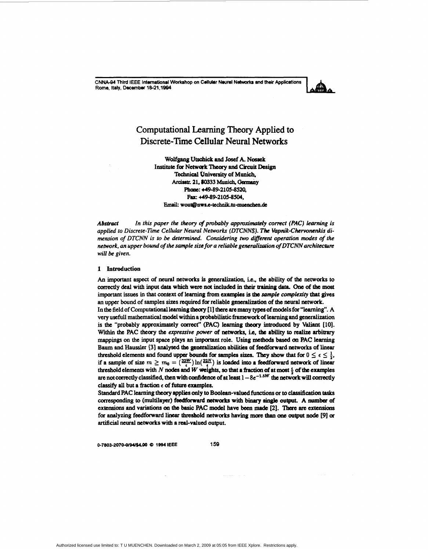CNNA-94 Third IEEE International Workshop on Cellular Neural Networks and their Applications Rome, Italy, December 18-21,1994



# **Computational Learning Theory Applied to** Discrete-Time Cellular Neural Networks

Wolfgang Utschick and Josef A. Nossek Institute for Network Theory and Circuit Design **Technical University of Munich.** Arcisstr. 21. 80333 Munich. Germany Phone: +49-89-2105-8520. Fax: +49-89-2105-8504, Email: wout@nws.e-technik.tu-muenchen.de

**Abstract** In this paper the theory of probably approximately correct (PAC) learning is applied to Discrete-Time Cellular Neural Networks (DTCNNS). The Vapnik-Chervonenkis dimension of DTCNN is to be determined. Considering two different operation modes of the network, an upper bound of the sample size for a reliable generalization of DTCNN architecture will be given.

#### 1 Introduction

An important aspect of neural networks is generalization, i.e., the ability of the networks to correctly deal with input data which were not included in their training data. One of the most important issues in that context of learning from examples is the sample complexity that gives an upper bound of samples sizes required for reliable generalization of the neural network. In the field of Computational learning theory [1] there are many types of models for "learning". A very usefull mathematical model within a probabilistic framework of learning and generalization is the "probably approximately correct" (PAC) learning theory introduced by Valiant [10]. Within the PAC theory the expressive power of networks, i.e, the ability to realize arbitrary mappings on the input space plays an important role. Using methods based on PAC learning Baum and Haussler [3] analysed the generalization abilities of feedforward networks of linear threshold elements and found upper bounds for samples sizes. They show that for  $0 \le \epsilon \le \frac{1}{2}$ , if a sample of size  $m \ge m_0 = (32W) \ln(32N)$  is loaded into a feedforward network of linear threshold elements with  $N$  nodes and  $W$  weights, so that a fraction of at most  $\frac{1}{2}$  of the examples are not correctly classified, then with confidence of at least  $1 - 8e^{-1.5W}$  the network will correctly

Standard PAC learning theory applies only to Boolean-valued functions or to classification tasks corresponding to (multilayer) feedforward networks with binary single output. A number of extensions and variations on the basic PAC model have been made [2]. There are extensions for analyzing feedforward linear threshold networks having more than one output node [9] or artificial neural networks with a real-valued output.

0-7803-2070-0/94/\$4.00 @ 1994 IEEE

classify all but a fraction  $\epsilon$  of future examples.

159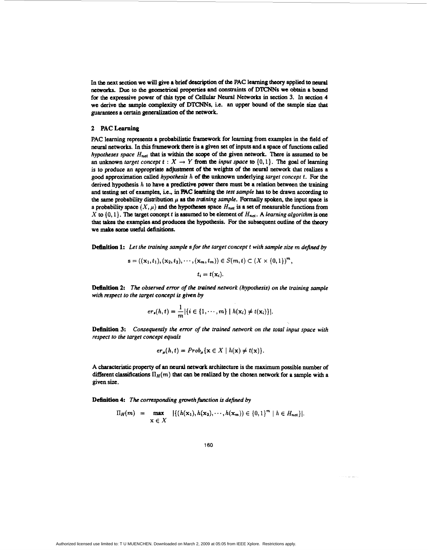In the next section we will give a brief description of the PAC learning theory applied to neural **networks. Due** to the geometrical properties **and** constraints of **D"Ns** we obtain a **bound for the** expressive power of **this type** *of* **Cellular** Neural Networks in section 3. In section **4**  we derive **the** sample complexity of **DTCNNs,** i.e. **an** upper **bound** of **the** sample *size* that **guarantees** a *certain* generalization of **the network.** 

## 2 **PAC** Learning

**PAC** learning represents a probabilistic framework for learning **from** examples in the field of **neural** networks. In **this** framework there is a given set *of* inputs and a **space** *of* functions called *hypotheses space H<sub>net</sub>* that is within the scope of the given network. There is assumed to be an unknown *target concept*  $t: X \rightarrow Y$  from the *input space* to  $\{0, 1\}$ . The goal of learning **is** *to* **produce an** appropriate adjustment of *be* weights of **the ntd** network that **realizes** a good approximation called *hypothesis h* of the unknown underlying *target concept t*. For the derived hypothesis  $h$  to have a predictive power there must be a relation between the training and testing set of examples, i.e., **in BC lcafbg the** *test sample* **has to** be drawn according to the same probability distribution  $\mu$  as the *training sample*. Formally spoken, the input space is a probability space  $(X, \mu)$  and the hypotheses space  $H_{net}$  is a set of measurable functions from X to  $\{0,1\}$ . The target concept t is assumed to be element of  $H_{net}$ . A *learning algorithm* is one that takes the examples **and produces** *the* hypothesis. **For** the subsequent outline *of* the **hory**  we **make some useful &finitions.** 

**Dt6nition 1: Let** *the training sampk* **s** *for the target concept t with sample size* **rn** *defined by* 

$$
s = ((x_1, t_1), (x_2, t_2), \cdots, (x_m, t_m)) \in S(m, t) \subset (X \times \{0, 1\})^m,
$$
  

$$
t_i = t(x_i).
$$

**Definition 2:** *The observed emr of the trained network (hypothesis) on the training sample with* **respect** *to rhe target concept* **is** *given by* 

$$
er_s(h,t) = \frac{1}{m} |\{i \in \{1,\cdots,m\} \mid h(\mathbf{x}_i) \neq t(\mathbf{x}_i)\}|.
$$

**Definition 3:**  *Consequently the emr of the trained network on the total input space with respect to the target concept equals* 

$$
er_{\mu}(h,t) = Prob_{\mu}\{\mathbf{x} \in X \mid h(\mathbf{x}) \neq t(\mathbf{x})\}.
$$

**A** characteristic property *of* **an neural** network **architecture** is **the** maximum possible number *of*  different classifications  $\Pi_H(m)$  that can be realized by the chosen network for a sample with a given *size.* 

Definition 4: The corresponding growth function is defined by

$$
\Pi_H(m) = \max_{\mathbf{x} \in X} |\{(h(\mathbf{x}_1), h(\mathbf{x}_2), \cdots, h(\mathbf{x}_m)) \in \{0, 1\}^m | h \in H_{\text{net}}\}|.
$$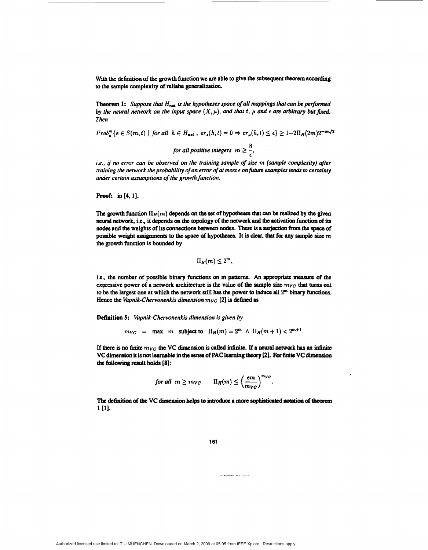With the definition of the growth function we are able to give the subsequent theorem according to the sample complexity of reliabe generalization.

**Theorem 1:** Suppose that  $H_{net}$  is the hypotheses space of all mappings that can be performed by the neural network on the input space  $(X, \mu)$ , and that t,  $\mu$  and  $\epsilon$  are arbitrary but fixed. **Then** 

 $Prob_{u}^{m} \{s \in S(m, t) \mid for \ all \ h \in H_{net} \}$ ,  $er_{s}(h, t) = 0 \Rightarrow er_{\mu}(h, t) \leq \epsilon \} \geq 1-2\Pi_{H}(2m)2^{-cm/2}$ for all positive integers  $m \geq \frac{8}{\epsilon}$ ,

i.e., if no error can be observed on the training sample of size m (sample complexity) after training the network the probability of an error of at most  $\epsilon$  on future examples tends to certainty under certain assumptions of the growth function.

Proof: in [4, 1].

The growth function  $\Pi_H(m)$  depends on the set of hypotheses that can be realized by the given neural network, i.e., it depends on the topology of the network and the activation function of its nodes and the weights of its connections between nodes. There is a surjection from the space of possible weight assignments to the space of hypotheses. It is clear, that for any sample size  $m$ the growth function is bounded by

 $\Pi_H(m) \leq 2^m$ ,

i.e., the number of possible binary functions on m patterns. An appropriate measure of the expressive power of a network architecture is the value of the sample size  $m_{VC}$  that turns out to be the largest one at which the network still has the power to induce all  $2<sup>m</sup>$  binary functions. Hence the Vapnik-Chervonenkis dimension  $m_{VC}$  [2] is defined as

Definition 5: Vapnik-Chervonenkis dimension is given by

 $m_{VC}$  = max m subject to  $\Pi_H(m) = 2^m \wedge \Pi_H(m+1) < 2^{m+1}$ .

If there is no finite  $m_{VC}$  the VC dimension is called infinite. If a neural network has an infinite VC dimension it is not learnable in the sense of PAC learning theory [2]. For finite VC dimension the following result holds [8]:

for all 
$$
m \geq m_{VC}
$$
  $\qquad \Pi_H(m) \leq \left(\frac{em}{m_{VC}}\right)^{m_{VC}}$ .

The definition of the VC dimension helps to introduce a more sophisticated notation of theorem 1 [1].

161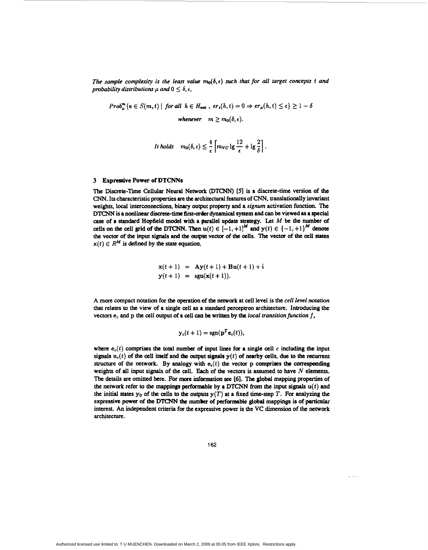*The sample complexity is the least value*  $m_0(\delta, \epsilon)$  *such that for all target concepts t and probability distributions*  $\mu$  *and*  $0 \le \delta, \epsilon$ *,* 

*Prob*<sup>*m*</sup><sub>*s*</sub>  $\{s \in S(m,t) | for all h \in H_{net}, er_s(h,t) = 0 \Rightarrow er_\mu(h,t) \leq \epsilon\} \geq 1 - \delta$ *whenever*  $m \geq m_0(\delta, \epsilon)$ .

$$
It holds \quad m_0(\delta,\epsilon) \leq \frac{4}{\epsilon} \left[ m_{VC} \lg \frac{12}{\epsilon} + \lg \frac{2}{\delta} \right].
$$

### **3 Expressive Power of DTCNNs**

The Discrete-Time Cellular Neural Network (DTCNN) [5] is a discrete-time version of the CNN. Its characteristic properties are the **architectural features** of **CNN,** translationally invariant weights, local intcrconncctions. **binary** output property and **a** *signum* activation function. **The**  DTCNN is a nonlinear discrete-time first-order dynamical system and can be viewed as a special *case* of a standard Hopfield model **with** a parallel updaw **strategy.** Let *M* be **the number of**  cells on the cell grid of the DTCNN. Then  $u(t) \in [-1, +1]^M$  and  $y(t) \in \{-1, +1\}^M$  denote the vector of the input signals and the output vector of the cells. The vector of the cell states  $x(t) \in R^M$  is defined by the state equation,

$$
x(t+1) = Ay(t+1) + Bu(t+1) + i
$$
  

$$
y(t+1) = sgn(x(t+1)).
$$

A more compact notation for **the** operation of **the network** at **cell** level is the *cell* level *notation*  that relates to the view of a single **cell as** a standard peraptron architecture. Introducing the vectors **e**<sub>c</sub> and **p** the cell output of a cell can be written by the *local transition function f*,

$$
\mathbf{y}_c(t+1) = \text{sgn}(\mathbf{p}^T \mathbf{e}_c(t)),
$$

where  $e_c(t)$  comprises the total number of input lines for a single cell  $c$  including the input  $s$  **ignals**  $u_c(t)$  of the cell itself and the output signals  $y(t)$  of nearby cells, due to the recurrent structure of the network. By analogy with  $e_c(t)$  the vector p comprises the corresponding weights of all input signals of the cell. Each of **the** vectors is assumed to have *N* elements. The details are omitted here. For more information see [6]. The global mapping properties of the network refer to the mappings performable by a DTCNN from the input signals  $u(t)$  and the initial states  $y_0$  of the cells to the outputs  $y(T)$  at a fixed time-step T. For analyzing the expressive **power** of the DTCNN **the number** *of* **perforntable globst** mappihgs is of partiah interest. *An* independent criteria **for** the expressive power is the VC dimension of the network architecture.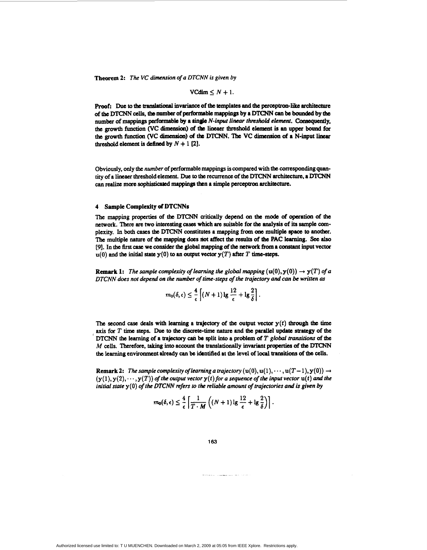**Theorem 2:** *The VC dimension of a DTCNN is given by* 

$$
VCdim \leq N+1.
$$

**proof:** Due to the translational invariance of the templates and the perceptron-like architecture of the DTCNN cells, the number of performable mappings by a DTCNN can be bounded by the number of mappings performable by a single *N-input linear threshold element*. Consequently, the growth function (VC dimension) of the lineaer threshold element is an upper bound for **the growth** function **(VC** dimensioa) **of th D"N.** 'Ibe **VC dimension** *of* a N-input linear threshold element is defined by  $N + 1$  [2].

Obviously, only **the** *number* of performable mappings **is compared** with **the** corresponding quantity of a lineaer threshold element. Due **to the** recurrence of the **MC" architecture.** a DTCNN *can* **realize mace sophisticated** *mappings* tben a simple **perccptron archhcturc.** 

#### **4** Sample Complexity *of* **DTCNNs**

The mapping propertics of **the** DTCNN critically depend *on* **the mode** *of* operation *of* **the**  network. There **are** two interesting *cases* which **arc** suitable **for the** analysis *of* its sample *com*plexity. In both **cases the** D" **constitutes** a mapping from *one* multiple *space* **to another.**  The multiple nature of the mapping does not affect the results of the PAC learning. See also  $[9]$ . In the first case we consider the global mapping of the network from a constant input vector  $u(0)$  and the initial state  $y(0)$  to an output vector  $y(T)$  after T time-steps.

**Remark 1:** *The sample complexity of learning the global mapping*  $(u(0), y(0)) \rightarrow y(T)$  of a *DTCNN does not depend on the number* **of** *time-steps of the trajectory and can be written* **as** 

$$
m_0(\delta,\epsilon) \leq \frac{4}{\epsilon} \left[ (N+1) \lg \frac{12}{\epsilon} + \lg \frac{2}{\delta} \right]
$$

The second case deals with learning a trajectory of the output vector  $y(t)$  through the time axis for  $T$  time steps. Due to the discrete-time hattire and the parallel update strategy of the<br>DTCNN the learning of a trajectory can be split into a problem of  $T$  global transitions of the<br> $M$  cells. Therefore, takin the **learning** environment **already** *can* **be** idtntified at **the** level *of* local **transitions** *of* **th.** cells. axis for *T* time steps. Due to the discrete-time nature and the parallel update strategy of the

**Remark 2:** *The sample complexity of learning a trajectory* (u(0), u(1),  $\dots$ , u(T-1), y(0))  $\rightarrow$  $(y(1), y(2), \dots, y(T))$  of the output vector  $y(t)$  for a sequence of the input vector  $u(t)$  and the *initial state* **y(0)** *of the DTCNN refers to the reliable amount of trajectories and* **is** *given by* 

$$
m_0(\delta,\epsilon) \leq \frac{4}{\epsilon} \left[ \frac{1}{T \cdot M} \left( (N+1) \lg \frac{12}{\epsilon} + \lg \frac{2}{\delta} \right) \right].
$$

#### **163**